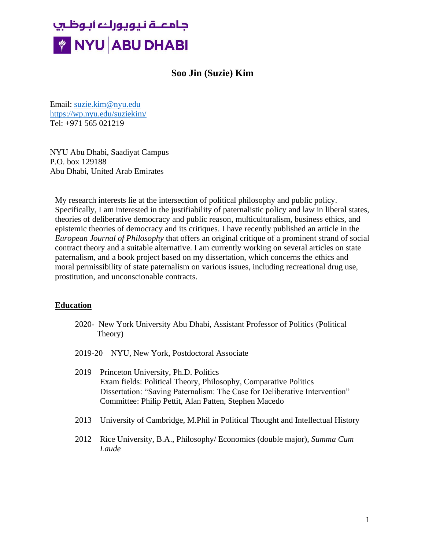# جامعــة نـيويوركء أبـوظـسِ **WE NYU ABU DHABI**

# **Soo Jin (Suzie) Kim**

Email: [suzie.kim@nyu.edu](mailto:suzie.kim@nyu.edu) <https://wp.nyu.edu/suziekim/> Tel: +971 565 021219

NYU Abu Dhabi, Saadiyat Campus P.O. box 129188 Abu Dhabi, United Arab Emirates

My research interests lie at the intersection of political philosophy and public policy. Specifically, I am interested in the justifiability of paternalistic policy and law in liberal states, theories of deliberative democracy and public reason, multiculturalism, business ethics, and epistemic theories of democracy and its critiques. I have recently published an article in the *European Journal of Philosophy* that offers an original critique of a prominent strand of social contract theory and a suitable alternative. I am currently working on several articles on state paternalism, and a book project based on my dissertation, which concerns the ethics and moral permissibility of state paternalism on various issues, including recreational drug use, prostitution, and unconscionable contracts.

### **Education**

- 2020- New York University Abu Dhabi, Assistant Professor of Politics (Political Theory)
- 2019-20 NYU, New York, Postdoctoral Associate
- 2019 Princeton University, Ph.D. Politics Exam fields: Political Theory, Philosophy, Comparative Politics Dissertation: "Saving Paternalism: The Case for Deliberative Intervention" Committee: Philip Pettit, Alan Patten, Stephen Macedo
- 2013 University of Cambridge, M.Phil in Political Thought and Intellectual History
- 2012 Rice University, B.A., Philosophy/ Economics (double major), *Summa Cum Laude*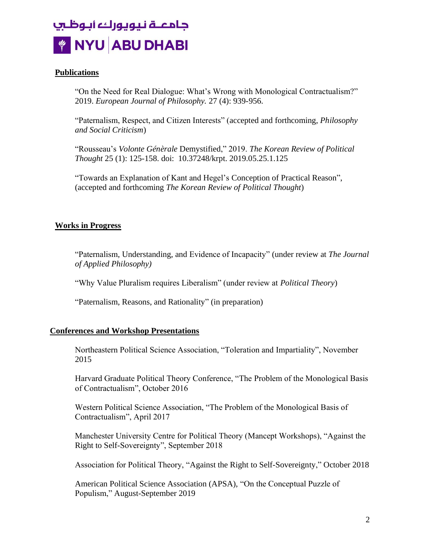

#### **Publications**

"On the Need for Real Dialogue: What's Wrong with Monological Contractualism?" 2019. *European Journal of Philosophy.* 27 (4): 939-956.

"Paternalism, Respect, and Citizen Interests" (accepted and forthcoming, *Philosophy and Social Criticism*)

"Rousseau's *Volonte Génèrale* Demystified," 2019. *The Korean Review of Political Thought* 25 (1): 125-158. doi: 10.37248/krpt. 2019.05.25.1.125

"Towards an Explanation of Kant and Hegel's Conception of Practical Reason", (accepted and forthcoming *The Korean Review of Political Thought*)

#### **Works in Progress**

"Paternalism, Understanding, and Evidence of Incapacity" (under review at *The Journal of Applied Philosophy)*

"Why Value Pluralism requires Liberalism" (under review at *Political Theory*)

"Paternalism, Reasons, and Rationality" (in preparation)

#### **Conferences and Workshop Presentations**

Northeastern Political Science Association, "Toleration and Impartiality", November 2015

Harvard Graduate Political Theory Conference, "The Problem of the Monological Basis of Contractualism", October 2016

Western Political Science Association, "The Problem of the Monological Basis of Contractualism", April 2017

Manchester University Centre for Political Theory (Mancept Workshops), "Against the Right to Self-Sovereignty", September 2018

Association for Political Theory, "Against the Right to Self-Sovereignty," October 2018

American Political Science Association (APSA), "On the Conceptual Puzzle of Populism," August-September 2019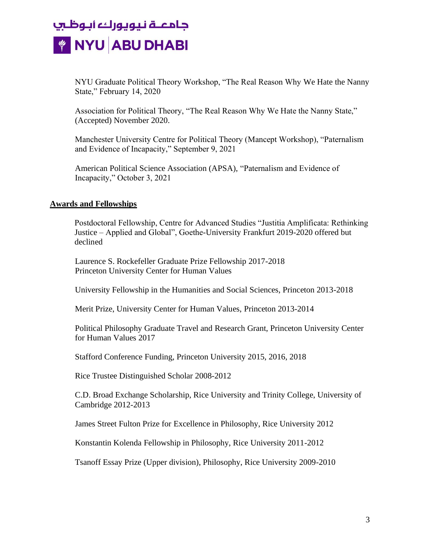# جامعــة نـيويوركء أبـوظـسِ *W* NYU ABU DHABI

NYU Graduate Political Theory Workshop, "The Real Reason Why We Hate the Nanny State," February 14, 2020

Association for Political Theory, "The Real Reason Why We Hate the Nanny State," (Accepted) November 2020.

Manchester University Centre for Political Theory (Mancept Workshop), "Paternalism and Evidence of Incapacity," September 9, 2021

American Political Science Association (APSA), "Paternalism and Evidence of Incapacity," October 3, 2021

# **Awards and Fellowships**

Postdoctoral Fellowship, Centre for Advanced Studies "Justitia Amplificata: Rethinking Justice – Applied and Global", Goethe-University Frankfurt 2019-2020 offered but declined

Laurence S. Rockefeller Graduate Prize Fellowship 2017-2018 Princeton University Center for Human Values

University Fellowship in the Humanities and Social Sciences, Princeton 2013-2018

Merit Prize, University Center for Human Values, Princeton 2013-2014

Political Philosophy Graduate Travel and Research Grant, Princeton University Center for Human Values 2017

Stafford Conference Funding, Princeton University 2015, 2016, 2018

Rice Trustee Distinguished Scholar 2008-2012

C.D. Broad Exchange Scholarship, Rice University and Trinity College, University of Cambridge 2012-2013

James Street Fulton Prize for Excellence in Philosophy, Rice University 2012

Konstantin Kolenda Fellowship in Philosophy, Rice University 2011-2012

Tsanoff Essay Prize (Upper division), Philosophy, Rice University 2009-2010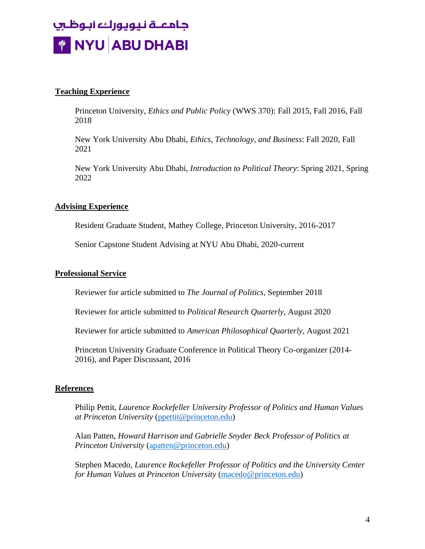# جامعــة نـيويوركء ابـوظـسٍ *W* NYU ABU DHABI

# **Teaching Experience**

Princeton University, *Ethics and Public Policy* (WWS 370): Fall 2015, Fall 2016, Fall 2018

New York University Abu Dhabi, *Ethics, Technology, and Business*: Fall 2020, Fall 2021

New York University Abu Dhabi, *Introduction to Political Theory*: Spring 2021, Spring 2022

# **Advising Experience**

Resident Graduate Student, Mathey College, Princeton University, 2016-2017

Senior Capstone Student Advising at NYU Abu Dhabi, 2020-current

### **Professional Service**

Reviewer for article submitted to *The Journal of Politics,* September 2018

Reviewer for article submitted to *Political Research Quarterly,* August 2020

Reviewer for article submitted to *American Philosophical Quarterly,* August 2021

Princeton University Graduate Conference in Political Theory Co-organizer (2014- 2016), and Paper Discussant, 2016

### **References**

Philip Pettit, *Laurence Rockefeller University Professor of Politics and Human Values at Princeton University* [\(ppettit@princeton.edu\)](mailto:ppettit@princeton.edu)

Alan Patten, *Howard Harrison and Gabrielle Snyder Beck Professor of Politics at Princeton University* [\(apatten@princeton.edu\)](mailto:apatten@princeton.edu)

Stephen Macedo, *Laurence Rockefeller Professor of Politics and the University Center for Human Values at Princeton University* [\(macedo@princeton.edu\)](mailto:macedo@princeton.edu)